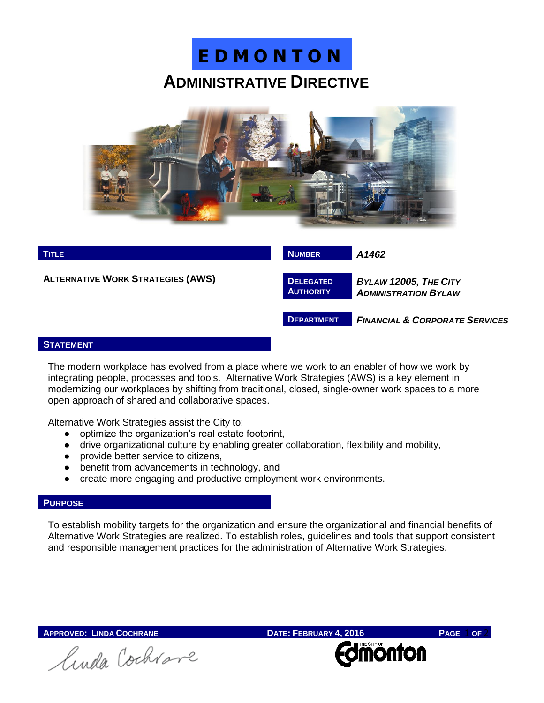





## **STATEMENT**

The modern workplace has evolved from a place where we work to an enabler of how we work by integrating people, processes and tools. Alternative Work Strategies (AWS) is a key element in modernizing our workplaces by shifting from traditional, closed, single-owner work spaces to a more open approach of shared and collaborative spaces.

Alternative Work Strategies assist the City to:

- optimize the organization's real estate footprint,
- drive organizational culture by enabling greater collaboration, flexibility and mobility,
- provide better service to citizens,
- benefit from advancements in technology, and
- create more engaging and productive employment work environments.

## **PURPOSE**

To establish mobility targets for the organization and ensure the organizational and financial benefits of Alternative Work Strategies are realized. To establish roles, guidelines and tools that support consistent and responsible management practices for the administration of Alternative Work Strategies.

**APPROVED:** LINDA COCHRANE **DATE:** FEBRUARY **4, 2016 PAGE 1 OF 2**<br> *A A A A A A A A C* **C** lunda Cochrave